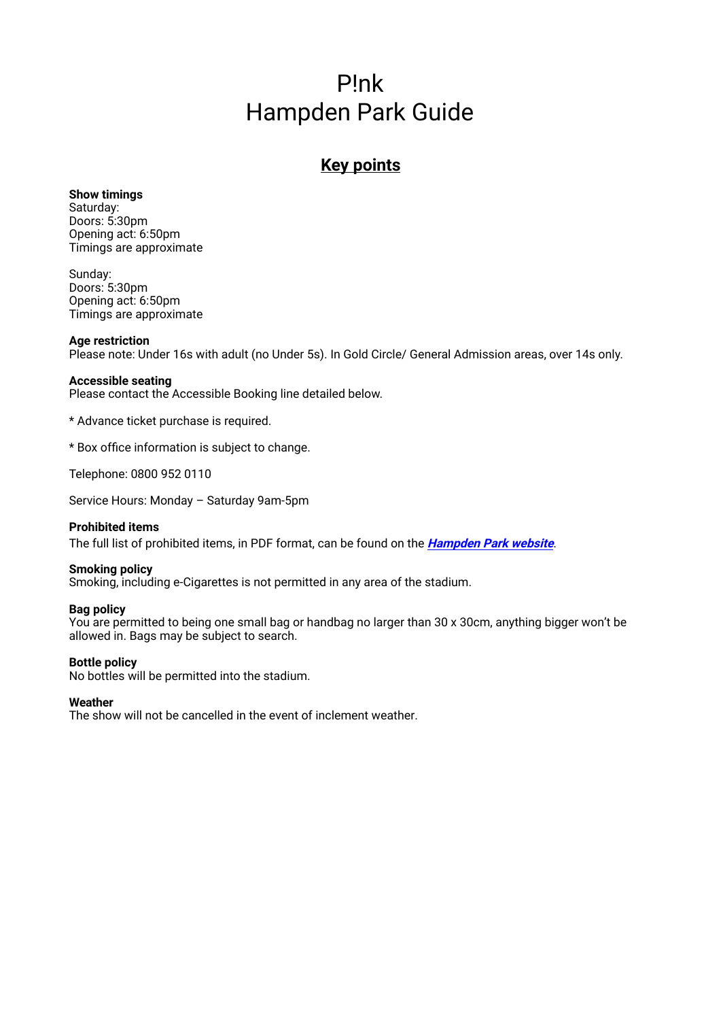# P!nk Hampden Park Guide

## **Key points**

#### **Show timings**  Saturday:

Doors: 5:30pm Opening act: 6:50pm Timings are approximate

Sunday: Doors: 5:30pm Opening act: 6:50pm Timings are approximate

## **Age restriction**

Please note: Under 16s with adult (no Under 5s). In Gold Circle/ General Admission areas, over 14s only.

## **Accessible seating**

Please contact the Accessible Booking line detailed below.

\* Advance ticket purchase is required.

\* Box office information is subject to change.

Telephone: 0800 952 0110

Service Hours: Monday – Saturday 9am-5pm

## **Prohibited items**

[The full list of prohibited items](https://www.hampdenpark.co.uk/assets/media/a-z-guide/HAMPDEN%20PROHIBITED%20ITEMS%20UPDATED.pdf), in PDF format, can be found on the **[Hampden Park website](https://www.hampdenpark.co.uk/assets/media/a-z-guide/HAMPDEN_PROHIBITED_ITEMS_V2.pdf)**.

## **Smoking policy**

Smoking, including e-Cigarettes is not permitted in any area of the stadium.

## **Bag policy**

You are permitted to being one small bag or handbag no larger than 30 x 30cm, anything bigger won't be allowed in. Bags may be subject to search.

## **Bottle policy**

No bottles will be permitted into the stadium.

### **Weather**

The show will not be cancelled in the event of inclement weather.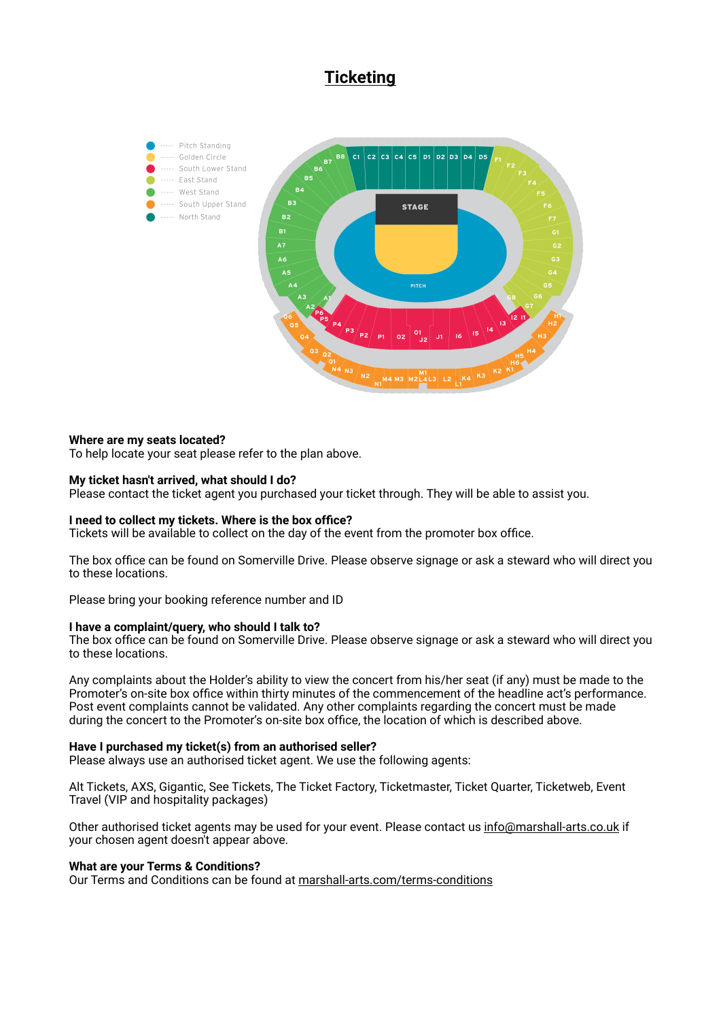## **Ticketing**



## **Where are my seats located?**

To help locate your seat please refer to the plan above.

#### **My ticket hasn't arrived, what should I do?**

Please contact the ticket agent you purchased your ticket through. They will be able to assist you.

#### **I need to collect my tickets. Where is the box office?**

Tickets will be available to collect on the day of the event from the promoter box office.

The box office can be found on Somerville Drive. Please observe signage or ask a steward who will direct you to these locations.

Please bring your booking reference number and ID

#### **I have a complaint/query, who should I talk to?**

The box office can be found on Somerville Drive. Please observe signage or ask a steward who will direct you to these locations.

Any complaints about the Holder's ability to view the concert from his/her seat (if any) must be made to the Promoter's on-site box office within thirty minutes of the commencement of the headline act's performance. Post event complaints cannot be validated. Any other complaints regarding the concert must be made during the concert to the Promoter's on-site box office, the location of which is described above.

#### **Have I purchased my ticket(s) from an authorised seller?**

Please always use an authorised ticket agent. We use the following agents:

Alt Tickets, AXS, Gigantic, See Tickets, The Ticket Factory, Ticketmaster, Ticket Quarter, Ticketweb, Event Travel (VIP and hospitality packages)

Other authorised ticket agents may be used for your event. Please contact us [info@marshall-arts.co.uk](mailto:info@marshall-arts.co.uk) if your chosen agent doesn't appear above.

#### **What are your Terms & Conditions?**

Our Terms and Conditions can be found at [marshall-arts.com/terms-conditions](http://marshall-arts.com/terms-conditions)